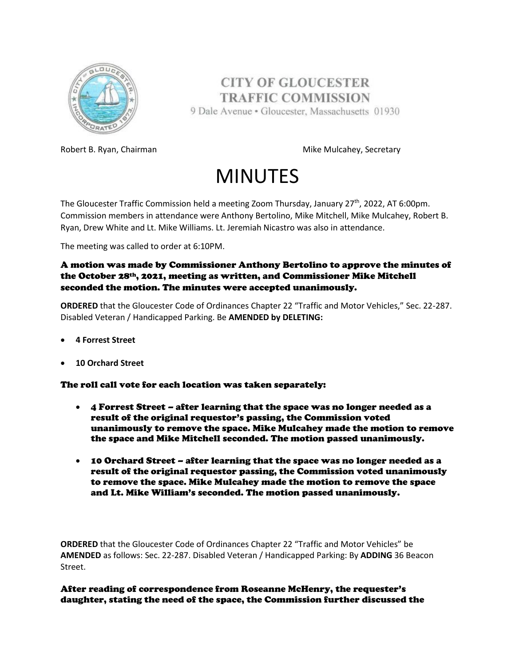

**CITY OF GLOUCESTER TRAFFIC COMMISSION** 9 Dale Avenue · Gloucester, Massachusetts 01930

Robert B. Ryan, Chairman Mike Mulcahey, Secretary

## MINUTES

The Gloucester Traffic Commission held a meeting Zoom Thursday, January 27<sup>th</sup>, 2022, AT 6:00pm. Commission members in attendance were Anthony Bertolino, Mike Mitchell, Mike Mulcahey, Robert B. Ryan, Drew White and Lt. Mike Williams. Lt. Jeremiah Nicastro was also in attendance.

The meeting was called to order at 6:10PM.

## A motion was made by Commissioner Anthony Bertolino to approve the minutes of the October 28th, 2021, meeting as written, and Commissioner Mike Mitchell seconded the motion. The minutes were accepted unanimously.

**ORDERED** that the Gloucester Code of Ordinances Chapter 22 "Traffic and Motor Vehicles," Sec. 22-287. Disabled Veteran / Handicapped Parking. Be **AMENDED by DELETING:**

- **4 Forrest Street**
- **10 Orchard Street**

## The roll call vote for each location was taken separately:

- 4 Forrest Street after learning that the space was no longer needed as a result of the original requestor's passing, the Commission voted unanimously to remove the space. Mike Mulcahey made the motion to remove the space and Mike Mitchell seconded. The motion passed unanimously.
- 10 Orchard Street after learning that the space was no longer needed as a result of the original requestor passing, the Commission voted unanimously to remove the space. Mike Mulcahey made the motion to remove the space and Lt. Mike William's seconded. The motion passed unanimously.

**ORDERED** that the Gloucester Code of Ordinances Chapter 22 "Traffic and Motor Vehicles" be **AMENDED** as follows: Sec. 22-287. Disabled Veteran / Handicapped Parking: By **ADDING** 36 Beacon Street.

After reading of correspondence from Roseanne McHenry, the requester's daughter, stating the need of the space, the Commission further discussed the